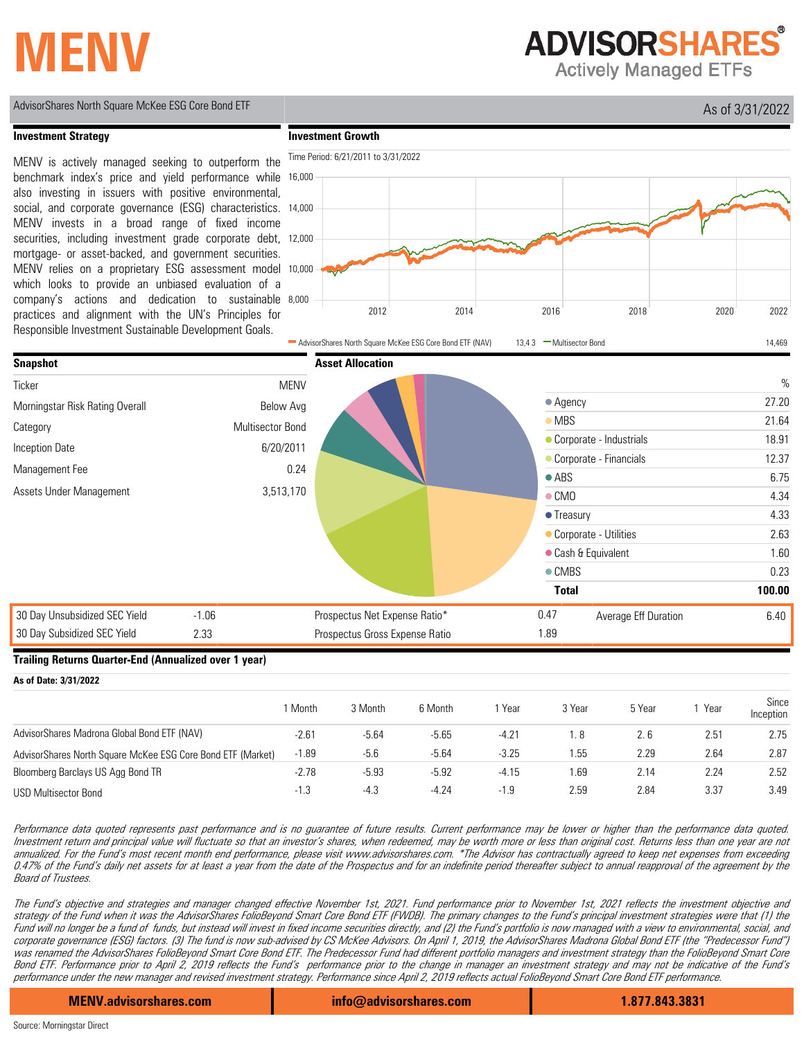# **MENV**

**ADVISORSHARES** 

**Actively Managed ETFs** 



MENV is actively managed seeking to outperform the benchmark index's price and yield performance while also investing in issuers with positive environmental,

MENV invests in a broad range of fixed income

mortgage- or asset-backed, and government securities.

securities, including investment grade corporate debt, 12,000

social, and corporate governance (ESG) characteristics. 14,000

#### **Investment Strategy**

**Investment Growth**

16,000

Time Period: 6/21/2011 to 3/31/2022



### **Trailing Returns Quarter-End (Annualized over 1 year)**

**As of Date: 3/31/2022** 1 Month 3 Month 6 Month 1 Year 3 Year 5 Year 1 Year Since Inception AdvisorShares Madrona Global Bond ETF (NAV) AdvisorShares North Square McKee ESG Core Bond ETF (Market) Bloomberg Barclays US Agg Bond TR USD Multisector Bond -1.3 -4.3 -4.24 -1.9 2.59 2.84 3.37 3.49 -2.78 -5.93 -5.92 -4.15 1.69 2.14 2.24 2.52 -2.61 -5.64 -5.65 -4.21 1. 8 2. 6 2.51 2.75 -1.89 -5.6 -5.64 -3.25 1.55 2.29 2.64 2.87

Performance data quoted represents past performance and is no guarantee of future results. Current performance may be lower or higher than the performance data quoted. Investment return and principal value will fluctuate so that an investor's shares, when redeemed, may be worth more or less than original cost. Returns less than one year are not annualized. For the Fund's most recent month end performance, please visit www.advisorshares.com. \*The Advisor has contractually agreed to keep net expenses from exceeding 0.47% of the Fund's daily net assets for at least a year from the date of the Prospectus and for an indefinite period thereafter subject to annual reapproval of the agreement by the Board of Trustees.

The Fund's objective and strategies and manager changed effective November 1st, 2021. Fund performance prior to November 1st, 2021 reflects the investment objective and strategy of the Fund when it was the AdvisorShares FolioBeyond Smart Core Bond ETF (FWDB). The primary changes to the Fund's principal investment strategies were that (1) the Fund will no longer be a fund of funds, but instead will invest in fixed income securities directly, and (2) the Fund's portfolio is now managed with a view to environmental, social, and corporate governance (ESG) factors. (3) The fund is now sub-advised by CS McKee Advisors. On April 1, 2019, the AdvisorShares Madrona Global Bond ETF (the "Predecessor Fund") was renamed the AdvisorShares FolioBeyond Smart Core Bond ETF. The Predecessor Fund had different portfolio managers and investment strategy than the FolioBeyond Smart Core Bond ETF. Performance prior to April 2, 2019 reflects the Fund's performance prior to the change in manager an investment strategy and may not be indicative of the Fund's performance under the new manager and revised investment strategy. Performance since April 2, 2019 reflects actual FolioBeyond Smart Core Bond ETF performance.

**MENV.advisorshares.com info@advisorshares.com 1.877.843.3831**